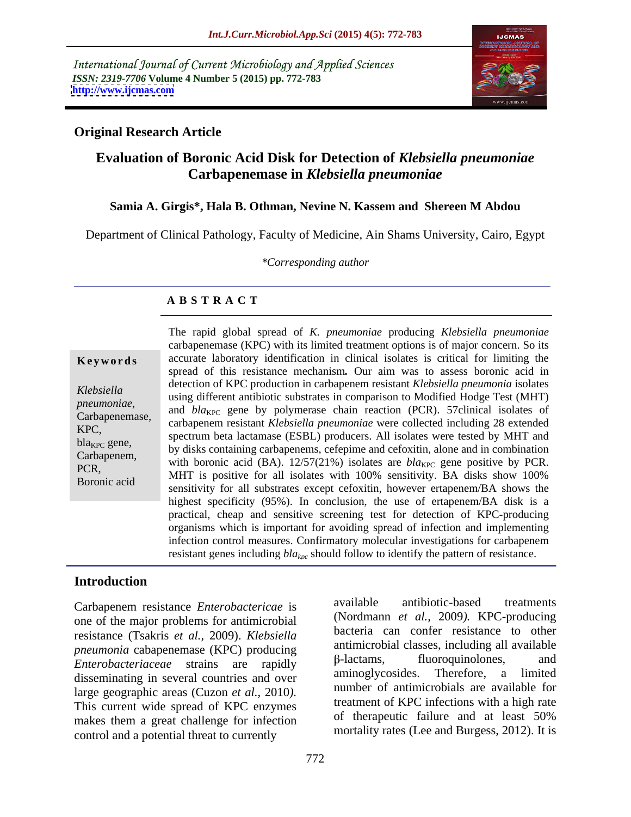International Journal of Current Microbiology and Applied Sciences *ISSN: 2319-7706* **Volume 4 Number 5 (2015) pp. 772-783 <http://www.ijcmas.com>**



### **Original Research Article**

## **Evaluation of Boronic Acid Disk for Detection of** *Klebsiella pneumoniae* **Carbapenemase in** *Klebsiella pneumoniae*

### **Samia A. Girgis\*, Hala B. Othman, Nevine N. Kassem and Shereen M Abdou**

Department of Clinical Pathology, Faculty of Medicine, Ain Shams University, Cairo, Egypt

*\*Corresponding author*

### **A B S T R A C T**

Boronic acid

The rapid global spread of *K. pneumoniae* producing *Klebsiella pneumoniae* carbapenemase (KPC) with its limited treatment options is of major concern. So its **Keywords** accurate laboratory identification in clinical isolates is critical for limiting the spread of this resistance mechanism*.* Our aim was to assess boronic acid in detection of KPC production in carbapenem resistant *Klebsiella pneumonia* isolates using different antibiotic substrates in comparison to Modified Hodge Test (MHT) *Klebsiella* pneumoniae,<br>
carbapenemase, and *bla<sub>KPC</sub>* gene by polymerase chain reaction (PCR). 57clinical isolates of carbapenemase, carbon content *Klabsiella* provincial variance callected including 28 outerded carbapenem resistant *Klebsiella pneumoniae* were collected including 28 extended spectrum beta lactamase (ESBL) producers. All isolates were tested by MHT and<br>had spectrum beta lactamase (ESBL) producers. All isolates were tested by MHT and  $bla_{\text{R}}$  by disks containing carbapenems, cefepime and cefoxitin, alone and in combination carbapenems, cefepime and cefoxitin, alone and in combination Carbapenem,<br>with boronic acid (BA).  $12/57(21%)$  isolates are  $bl_{\text{RFC}}$  gene positive by PCR. PCR,<br>MHT is positive for all isolates with 100% sensitivity. BA disks show 100% sensitivity for all substrates except cefoxitin, however ertapenem/BA shows the highest specificity (95%). In conclusion, the use of ertapenem/BA disk is a practical, cheap and sensitive screening test for detection of KPC-producing organisms which is important for avoiding spread of infection and implementing infection control measures. Confirmatory molecular investigations for carbapenem resistant genes including  $bla_{kpc}$  should follow to identify the pattern of resistance.

### **Introduction**

one of the major problems for antimicrobial resistance (Tsakris *et al.,* 2009). *Klebsiella pneumonia* cabapenemase (KPC) producing antimicropial classes, including all available<br>  $\beta$ -lactams, fluoroquinolones, and *Enterobacteriaceae* strains are rapidly  $\beta$ -lactams, invortoguinolones, and discominating in soveral countries and over a aminoglycosides. Therefore, a limited disseminating in several countries and over large geographic areas (Cuzon *et al.,* 2010*).*  This current wide spread of KPC enzymes<br>makes them a groot challange for infection of therapeutic failure and at least 50% makes them a great challenge for infection control and a potential threat to currently

Carbapenem resistance *Enterobactericae* is available antibiotic-based treatments (Nordmann *et al.,* 2009*).* KPC-producing bacteria can confer resistance to other antimicrobial classes, including all available -lactams, fluoroquinolones, and aminoglycosides. Therefore, a limited number of antimicrobials are available for treatment of KPC infections with a high rate of therapeutic failure and at least 50% mortality rates (Lee and Burgess, 2012). It is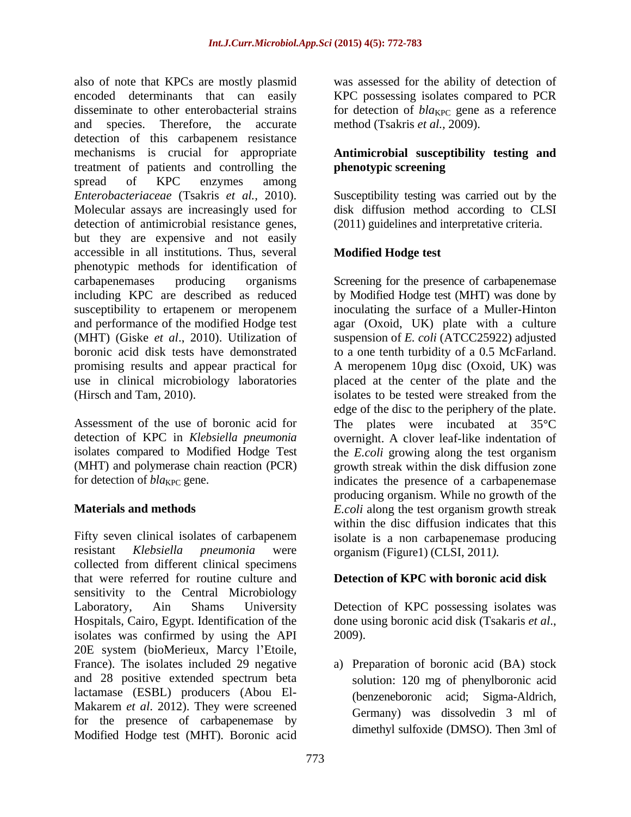also of note that KPCs are mostly plasmid was assessed for the ability of detection of encoded determinants that can easily KPC possessing isolates compared to PCR disseminate to other enterobacterial strains for detection of  $bla_{KPC}$  gene as a reference and species. Therefore, the accurate method (Tsakris *et al.,* 2009). detection of this carbapenem resistance mechanisms is crucial for appropriate **Antimicrobial susceptibility testing and** treatment of patients and controlling the **phenotypic screening** spread of KPC enzymes among *Enterobacteriaceae* (Tsakris *et al.,* 2010). Molecular assays are increasingly used for disk diffusion method according to CLSI detection of antimicrobial resistance genes, but they are expensive and not easily accessible in all institutions. Thus, several phenotypic methods for identification of carbapenemases producing organisms Screening for the presence of carbapenemase including KPC are described as reduced by Modified Hodge test (MHT) was done by susceptibility to ertapenem or meropenem inoculating the surface of a Muller-Hinton and performance of the modified Hodge test agar (Oxoid, UK) plate with a culture (MHT) (Giske *et al*., 2010). Utilization of suspension of *E. coli* (ATCC25922) adjusted boronic acid disk tests have demonstrated to a one tenth turbidity of a 0.5 McFarland. promising results and appear practical for A meropenem 10µg disc (Oxoid, UK) was use in clinical microbiology laboratories placed at the center of the plate and the (Hirsch and Tam, 2010). isolates to be tested were streaked from the

Fifty seven clinical isolates of carbapenem resistant *Klebsiella pneumonia* were collected from different clinical specimens that were referred for routine culture and sensitivity to the Central Microbiology Laboratory, Ain Shams University Detection of KPC possessing isolates was Hospitals, Cairo, Egypt. Identification of the done using boronic acid disk (Tsakaris et al., isolates was confirmed by using the API 20E system (bioMerieux, Marcy l'Etoile, France). The isolates included 29 negative a) Preparation of boronic acid (BA) stock and 28 positive extended spectrum beta lactamase (ESBL) producers (Abou El- Makarem *et al*. 2012). They were screened for the presence of carbapenemase by Modified Hodge test (MHT). Boronic acid

# **phenotypic screening**

Susceptibility testing was carried out by the (2011) guidelines and interpretative criteria.

### **Modified Hodge test**

Assessment of the use of boronic acid for The plates were incubated at 35<sup>o</sup>C detection of KPC in *Klebsiella pneumonia* overnight. A clover leaf-like indentation of isolates compared to Modified Hodge Test the *E.coli* growing along the test organism (MHT) and polymerase chain reaction (PCR) growth streak within the disk diffusion zone for detection of *bla*<sub>KPC</sub> gene. The indicates the presence of a carbapenemase **Materials and methods** E.coli along the test organism growth streak isolates to be tested were streaked from the edge of the disc to the periphery of the plate. producing organism. While no growth of the within the disc diffusion indicates that this isolate is a non carbapenemase producing organism (Figure1) (CLSI, 2011*).*

### **Detection of KPC with boronic acid disk**

done using boronic acid disk (Tsakaris *et al*., 2009).

solution: 120 mg of phenylboronic acid (benzeneboronic acid; Sigma-Aldrich, Germany) was dissolvedin 3 ml of dimethyl sulfoxide (DMSO). Then 3ml of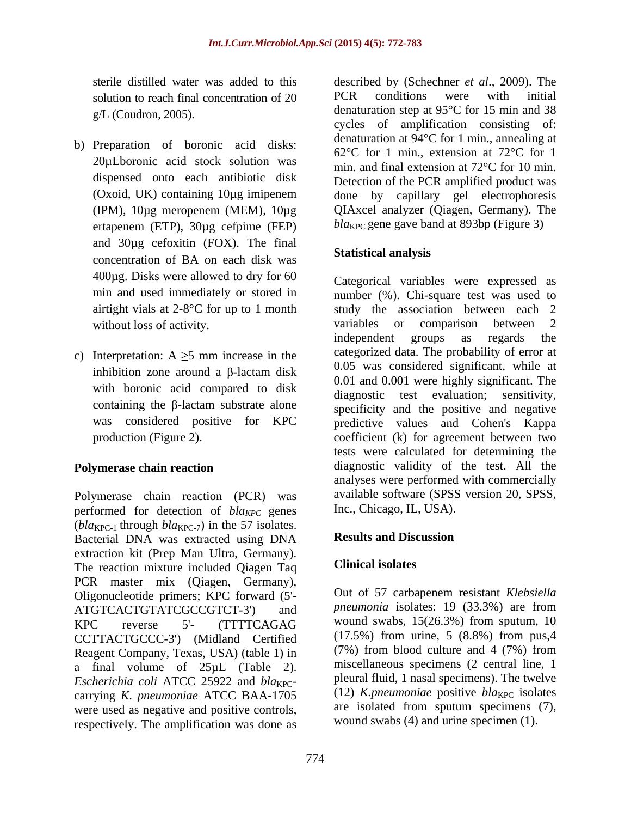- b) Preparation of boronic acid disks: 20µLboronic acid stock solution was ertapenem (ETP), 30µg cefpime (FEP) and 30µg cefoxitin (FOX). The final<br> **Statistical analysis** concentration of BA on each disk was 400µg. Disks were allowed to dry for 60
- c) Interpretation:  $A \ge 5$  mm increase in the with boronic acid compared to disk

Polymerase chain reaction (PCR) was performed for detection of *bla<sub>KPC</sub>* genes  $(bla_{\text{KPC-1}}$  through  $bla_{\text{KPC-7}}$ ) in the 57 isolates.<br>Bacterial DNA was extracted using DNA **Results and Discussion** Bacterial DNA was extracted using DNA extraction kit (Prep Man Ultra, Germany).<br>The reastion mixture included Oisson Teg clinical isolates The reaction mixture included Qiagen Taq PCR master mix (Qiagen, Germany), Oligonucleotide primers; KPC forward (5'- ATGTCACTGTATCGCCGTCT-3') and *pneumonia* isolates: 19 (33.3%) are from KPC reverse 5'- (TTTTCAGAG wound swabs, 15(26.3%) from sputum, 10 CCTTACTGCCC-3') (Midland Certified Reagent Company, Texas, USA) (table 1) in a final volume of 25µL (Table 2). *Escherichia coli* ATCC 25922 and *blakpc*carrying *K*. *pneumoniae* ATCC BAA-1705 were used as negative and positive controls, respectively. The amplification was done as

sterile distilled water was added to this described by (Schechner *et al*., 2009). The solution to reach final concentration of 20 PCR conditions were with initial  $g/L$  (Coudron, 2005). denaturation step at 95 $^{\circ}$ C for 15 min and 38 dispensed onto each antibiotic disk Detection of the PCR amplified product was (Oxoid, UK) containing 10µg imipenem done by capillary gel electrophoresis (IPM), 10µg meropenem (MEM), 10µg QIAxcel analyzer (Qiagen, Germany). The PCR conditions were with initial cycles of amplification consisting of: denaturation at 94°C for 1 min., annealing at 62°C for 1 min., extension at 72°C for 1 min. and final extension at 72°C for 10 min.  $bla<sub>KPC</sub>$  gene gave band at 893bp (Figure 3)

### **Statistical analysis**

min and used immediately or stored in number (%). Chi-square test was used to airtight vials at 2-8°C for up to 1 month study the association between each 2 without loss of activity.<br>
without loss of activity.<br>
independent groups as regards the inhibition zone around a  $\beta$ -lactam disk  $\begin{bmatrix} 0.03 \\ 0.01 \end{bmatrix}$  and  $\begin{bmatrix} 0.001 \\ 0.001 \end{bmatrix}$  is the set of  $\begin{bmatrix} 0.01 \\ 0.01 \end{bmatrix}$ containing the  $\beta$ -lactam substrate alone specificity and the positive and negative was considered positive for KPC predictive values and Cohen's Kappa production (Figure 2). coefficient (k) for agreement between two **Polymerase chain reaction** diagnostic validity of the test. All the Categorical variables were expressed as variables or comparison between 2 independent groups as regards the categorized data. The probability of error at 0.05 was considered significant, while at 0.01 and 0.001 were highly significant. The diagnostic test evaluation; sensitivity, specificity and the positive and negative tests were calculated for determining the analyses were performed with commercially available software (SPSS version 20, SPSS, Inc., Chicago, IL, USA).

### **Results and Discussion**

### **Clinical isolates**

Out of 57 carbapenem resistant *Klebsiella* wound swabs, 15(26.3%) from sputum, 10 (17.5%) from urine, 5 (8.8%) from pus,4 (7%) from blood culture and 4 (7%) from miscellaneous specimens (2 central line, 1 pleural fluid, 1 nasal specimens). The twelve (12) *K.pneumoniae* positive  $bla_{\text{KPC}}$  isolates are isolated from sputum specimens (7), wound swabs (4) and urine specimen (1).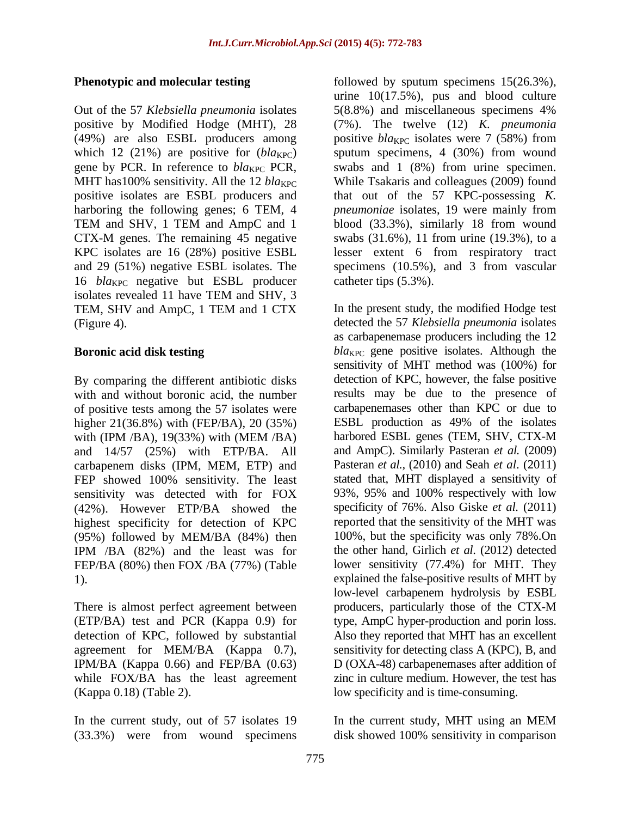Out of the 57 *Klebsiella pneumonia* isolates 5(8.8%) and miscellaneous specimens 4% (49%) are also ESBL producers among positive  $bla_{\text{KPC}}$  isolates were 7 (58%) from 16 *bla*<sub>KPC</sub> negative but ESBL producer isolates revealed 11 have TEM and SHV, 3 TEM, SHV and AmpC, 1 TEM and 1 CTX

By comparing the different antibiotic disks of positive tests among the 57 isolates were higher 21(36.8%) with (FEP/BA), 20 (35%) and 14/57 (25%) with ETP/BA. All carbapenem disks (IPM, MEM, ETP) and FEP showed 100% sensitivity. The least (42%). However ETP/BA showed the highest specificity for detection of KPC (95%) followed by MEM/BA (84%) then IPM /BA (82%) and the least was for FEP/BA (80%) then FOX /BA (77%) (Table

There is almost perfect agreement between IPM/BA (Kappa 0.66) and FEP/BA (0.63) while FOX/BA has the least agreement

(33.3%) were from wound specimens

**Phenotypic and molecular testing** followed by sputum specimens  $15(26.3\%)$ , positive by Modified Hodge (MHT), 28 (7%). The twelve (12) *K. pneumonia*  which 12 (21%) are positive for  $(bla_{KPC})$  sputum specimens, 4 (30%) from wound gene by PCR. In reference to  $bla_{KPC}$  PCR, swabs and 1 (8%) from urine specimen. MHT has100% sensitivity. All the 12 *bla*<sub>KPC</sub> While Tsakaris and colleagues (2009) found positive isolates are ESBL producers and that out of the 57 KPC-possessing *K.*  harboring the following genes; 6 TEM, 4 *pneumoniae* isolates, 19 were mainly from TEM and SHV, 1 TEM and AmpC and 1 blood (33.3%), similarly 18 from wound CTX-M genes. The remaining 45 negative swabs (31.6%), 11 from urine (19.3%), to a KPC isolates are 16 (28%) positive ESBL lesser extent 6 from respiratory tract and 29 (51%) negative ESBL isolates. The specimens (10.5%), and 3 from vascular urine 10(17.5%), pus and blood culture 5(8.8%) and miscellaneous specimens 4% positive *bla*<sub>KPC</sub> isolates were 7 (58%) from blood (33.3%), similarly 18 from wound catheter tips (5.3%).

(Figure 4). detected the 57 *Klebsiella pneumonia* isolates **Boronic acid disk testing** bla<sub>KPC</sub> gene positive isolates. Although the with and without boronic acid, the number results may be due to the presence of with (IPM /BA), 19(33%) with (MEM /BA) harbored ESBL genes (TEM, SHV, CTX-M sensitivity was detected with for FOX 93%, 95% and 100% respectively with low 1). explained the false-positive results of MHT by (ETP/BA) test and PCR (Kappa 0.9) for type, AmpC hyper-production and porin loss. detection of KPC, followed by substantial Also they reported that MHT has an excellent agreement for MEM/BA (Kappa 0.7), sensitivity for detecting class A (KPC), B, and (Kappa 0.18) (Table 2). low specificity and is time-consuming. In the present study, the modified Hodge test as carbapenemase producers including the 12 sensitivity of MHT method was (100%) for detection of KPC, however, the false positive carbapenemases other than KPC or due to ESBL production as 49% of the isolates harbored ESBL genes (TEM, SHV, CTX-M and AmpC). Similarly Pasteran *et al.* (2009) Pasteran *et al.,* (2010) and Seah *et al*. (2011) stated that, MHT displayed a sensitivity of specificity of 76%. Also Giske *et al.* (2011) reported that the sensitivity of the MHT was 100%, but the specificity was only 78%.On the other hand, Girlich *et al*. (2012) detected lower sensitivity (77.4%) for MHT. They low-level carbapenem hydrolysis by ESBL producers, particularly those of the CTX-M D (OXA-48) carbapenemases after addition of zinc in culture medium. However, the test has

In the current study, out of 57 isolates 19 In the current study, MHT using an MEM disk showed 100% sensitivity in comparison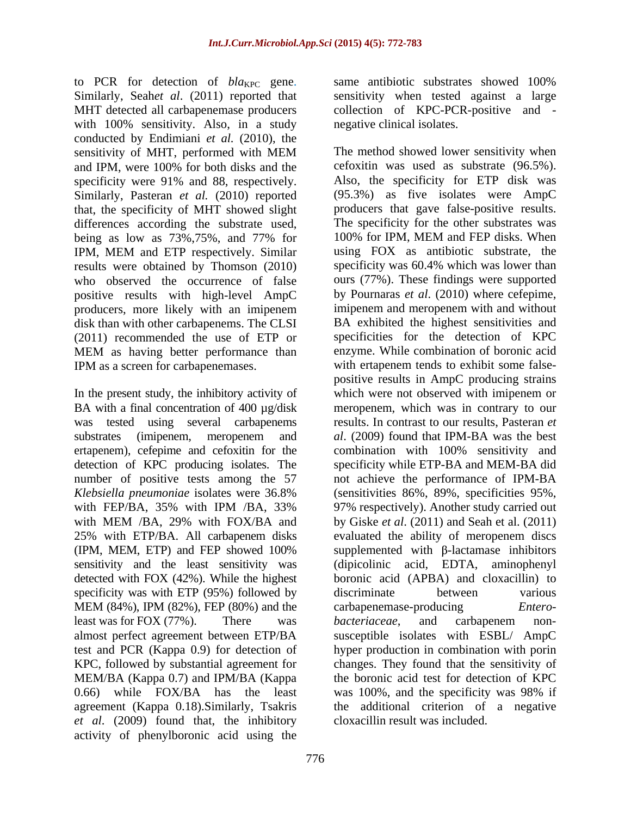to PCR for detection of *bla<sub>KPC</sub>* gene. same antibiotic substrates showed 100% Similarly, Seah*et al*. (2011) reported that MHT detected all carbapenemase producers collection of KPC-PCR-positive and with 100% sensitivity. Also, in a study conducted by Endimiani *et al.* (2010), the and IPM, were 100% for both disks and the specificity were 91% and 88, respectively. Similarly, Pasteran *et al.* (2010) reported that, the specificity of MHT showed slight differences according the substrate used, being as low as 73%,75%, and 77% for 100% for IPM, MEM and FEP disks. When results were obtained by Thomson (2010) positive results with high-level AmpC producers, more likely with an imipenem disk than with other carbapenems. The CLSI MEM as having better performance than

BA with a final concentration of 400 µg/disk was tested using several carbapenems ertapenem), cefepime and cefoxitin for the combination with 100% sensitivity and detection of KPC producing isolates. The (IPM, MEM, ETP) and FEP showed 100% detected with FOX (42%). While the highest specificity was with ETP (95%) followed by discriminate between various MEM/BA (Kappa 0.7) and IPM/BA (Kappa *et al*. (2009) found that, the inhibitory activity of phenylboronic acid using the

same antibiotic substrates showed 100% sensitivity when tested against a large negative clinical isolates.

sensitivity of MHT, performed with MEM IPM, MEM and ETP respectively. Similar who observed the occurrence of false ours (77%). These findings were supported (2011) recommended the use of ETP or specificities for the detection of KPC IPM as a screen for carbapenemases. with ertapenem tends to exhibit some false- In the present study, the inhibitory activity of which were not observed with imipenem or substrates (imipenem, meropenem and *al*. (2009) found that IPM-BA was the best number of positive tests among the 57 not achieve the performance of IPM-BA *Klebsiella pneumoniae* isolates were 36.8% (sensitivities 86%, 89%, specificities 95%, with FEP/BA, 35% with IPM /BA, 33% 97% respectively). Another study carried out with MEM /BA, 29% with FOX/BA and by Giske *et al*. (2011) and Seah et al. (2011) 25% with ETP/BA. All carbapenem disks evaluated the ability of meropenem discs sensitivity and the least sensitivity was (dipicolinic acid, EDTA, aminophenyl MEM (84%), IPM (82%), FEP (80%) and the carbapenemase-producing *Entero*least was for FOX (77%). There was *bacteriaceae*, and carbapenem nonalmost perfect agreement between ETP/BA susceptible isolates with ESBL/ AmpC test and PCR (Kappa 0.9) for detection of hyper production in combination with porin KPC, followed by substantial agreement for changes. They found that the sensitivity of 0.66) while FOX/BA has the least was 100%, and the specificity was 98% if agreement (Kappa 0.18).Similarly, Tsakris the additional criterion of a negative The method showed lower sensitivity when cefoxitin was used as substrate (96.5%). Also, the specificity for ETP disk was (95.3%) as five isolates were AmpC producers that gave false-positive results. The specificity for the other substrates was 100% for IPM, MEM and FEP disks. When using FOX as antibiotic substrate, the specificity was 60.4% which was lower than by Pournaras *et al*. (2010) where cefepime, imipenem and meropenem with and without BA exhibited the highest sensitivities and enzyme. While combination of boronic acid positive results in AmpC producing strains meropenem, which was in contrary to our results. In contrast to our results, Pasteran *et*  combination with 100% sensitivity and specificity while ETP-BA and MEM-BA did 97% respectively). Another study carried out evaluated the ability of meropenem discs supplemented with  $\beta$ -lactamase inhibitors boronic acid (APBA) and cloxacillin) to discriminate between various carbapenemase-producing *Entero bacteriaceae*, and carbapenem non the boronic acid test for detection of KPC cloxacillin result was included.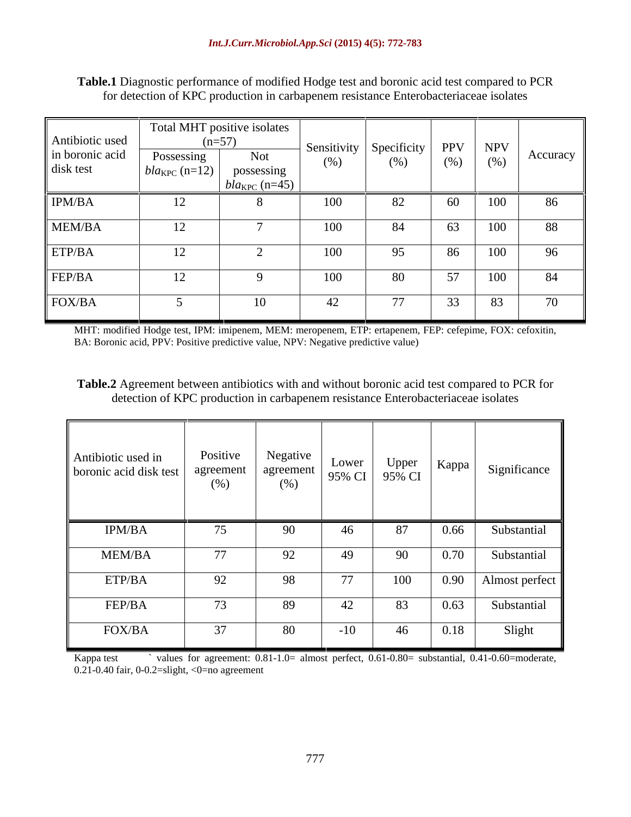| Antibiotic used<br>in boronic acid<br>disk test | Total MHT positive isolates<br>$(n=57)$<br>Possessing<br>$bla_{KPC}$ (n=12) | Not<br>possessing<br>$ bla_{KPC}$ (n=45) $ $ | Sensitivity   Specificity  <br>(% ) | (%)                             | <b>PPV</b><br>(%) | NPV<br>(%)  | Accuracy |
|-------------------------------------------------|-----------------------------------------------------------------------------|----------------------------------------------|-------------------------------------|---------------------------------|-------------------|-------------|----------|
| IPM/BA                                          | $1^{\circ}$<br>$\perp$                                                      |                                              | 100                                 | 82                              | 60                | 100<br>1 UU | 86       |
| MEM/BA                                          | 12                                                                          |                                              | 100                                 | 84                              | 63                | 100         | 88       |
| ETP/BA                                          | 12 <sub>1</sub><br>$\perp$                                                  |                                              | 100                                 | 95                              | 86                | 100         | 96       |
| FEP/BA                                          | 12 <sup>1</sup><br>$\perp$                                                  |                                              | 100                                 | 80                              | 57                | 100         | 84       |
| FOX/BA                                          |                                                                             |                                              | 42                                  | $\overline{a}$<br>$\frac{1}{2}$ | 33                | 83          | 70       |

**Table.1** Diagnostic performance of modified Hodge test and boronic acid test compared to PCR for detection of KPC production in carbapenem resistance Enterobacteriaceae isolates

MHT: modified Hodge test, IPM: imipenem, MEM: meropenem, ETP: ertapenem, FEP: cefepime, FOX: cefoxitin, BA: Boronic acid, PPV: Positive predictive value, NPV: Negative predictive value)

**Table.2** Agreement between antibiotics with and without boronic acid test compared to PCR for detection of KPC production in carbapenem resistance Enterobacteriaceae isolates

| Antibiotic used in<br>boronic acid disk test | Positive<br>agreement<br>(% ) | Negative<br>agreement<br>(%) |       | $\begin{array}{ c c c } \hline \text{Lower} & \text{Upper} \\ \hline 95\% & \text{CI} & 95\% & \text{CI} \\ \hline \end{array}$ | Kappa | Significance   |
|----------------------------------------------|-------------------------------|------------------------------|-------|---------------------------------------------------------------------------------------------------------------------------------|-------|----------------|
| IPM/BA                                       | 75                            | 90                           | 46    | 87                                                                                                                              | 0.66  | Substantial    |
|                                              |                               |                              |       |                                                                                                                                 |       |                |
| MEM/BA                                       | 77                            | 92                           | 49    | 90                                                                                                                              | 0.70  | Substantial    |
| ETP/BA                                       | 92                            | 98                           | 77    | 100                                                                                                                             | 0.90  | Almost perfect |
| FEP/BA                                       | 73                            | 89                           | 42    | 83                                                                                                                              | 0.63  | Substantial    |
| FOX/BA                                       | 37                            | 80                           | $-10$ | 46                                                                                                                              | 0.18  | Slight         |

Kappa test values for agreement:  $0.81-1.0=$  almost perfect,  $0.61-0.80=$  substantial,  $0.41-0.60=$ moderate, 0.21-0.40 fair, 0-0.2=slight, <0=no agreement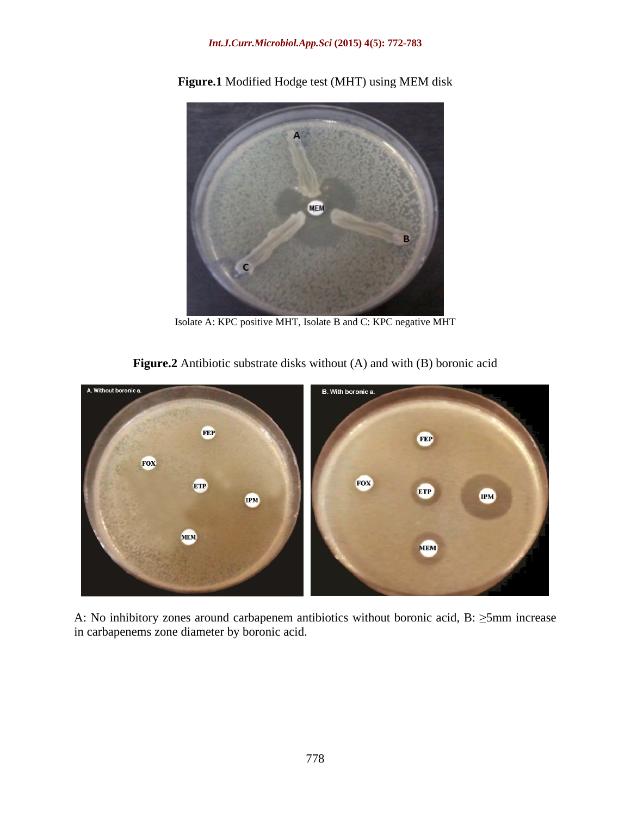### *Int.J.Curr.Microbiol.App.Sci* **(2015) 4(5): 772-783**



**Figure.1** Modified Hodge test (MHT) using MEM disk

Isolate A: KPC positive MHT, Isolate B and C: KPC negative MHT

**Figure.2** Antibiotic substrate disks without (A) and with (B) boronic acid



A: No inhibitory zones around carbapenem antibiotics without boronic acid, B:  $\geq$ 5mm increase in carbapenems zone diameter by boronic acid.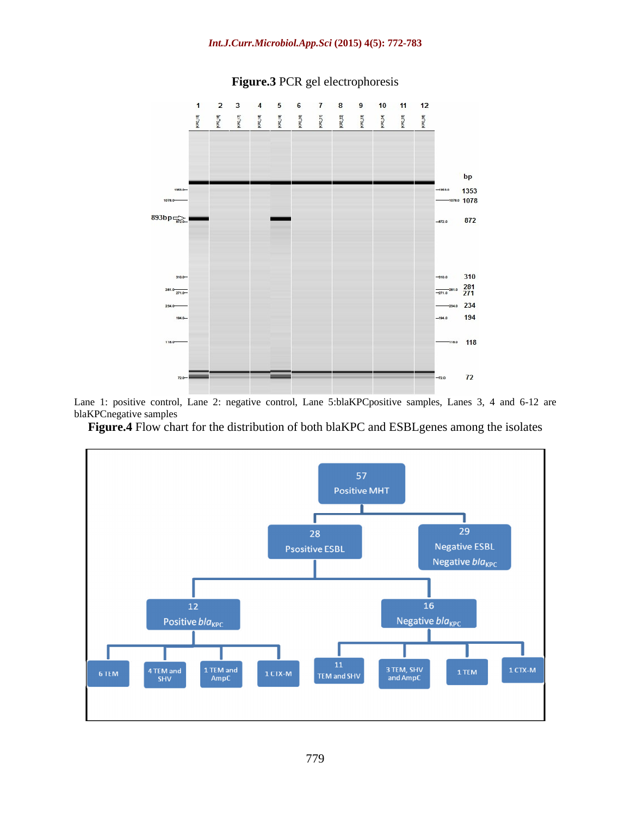

### **Figure.3** PCR gel electrophoresis

Lane 1: positive control, Lane 2: negative control, Lane 5:blaKPCpositive samples, Lanes 3, 4 and 6-12 are blaKPCnegative samples

**Figure.4** Flow chart for the distribution of both blaKPC and ESBLgenes among the isolates

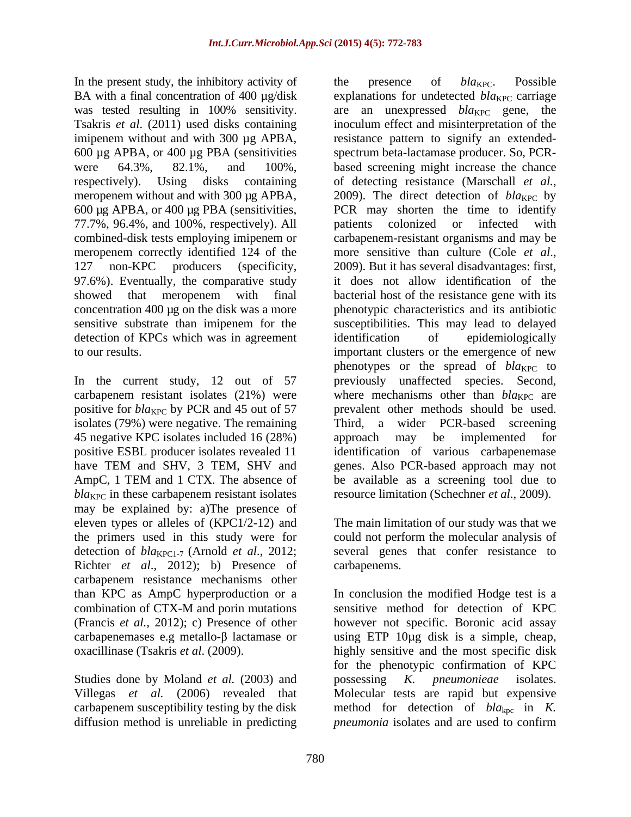In the present study, the inhibitory activity of the presence of  $bla_{KPC}$ . Possible respectively). Using disks containing of detecting resistance (Marschall *et al.*, meropenem without and with 300 µg APBA, 2009). The direct detection of  $bla_{\text{KPC}}$  by 600 µg APBA, or 400 µg PBA (sensitivities, 77.7%, 96.4%, and 100%, respectively). All meropenem correctly identified 124 of the more sensitive than culture (Cole *et al.*, 127 non-KPC producers (specificity, 2009). But it has several disadvantages: first, 97.6%). Eventually, the comparative study detection of KPCs which was in agreement identification of epidemiologically

isolates (79%) were negative. The remaining 45 negative KPC isolates included 16 (28%) approach may be implemented for have TEM and SHV, 3 TEM, SHV and AmpC, 1 TEM and 1 CTX. The absence of  $bla_{\text{KPC}}$  in these carbapenem resistant isolates may be explained by: a)The presence of eleven types or alleles of (KPC1/2-12) and The main limitation of our study was that we the primers used in this study were for could not perform the molecular analysis of detection of *bla*<sub>KPC1-7</sub> (Arnold *et al.*, 2012; several genes that confer resistance to Richter *et al*., 2012); b) Presence of carbapenem resistance mechanisms other than KPC as AmpC hyperproduction or a

Studies done by Moland *et al.* (2003) and possessing K. *pneumonieae* isolates. diffusion method is unreliable in predicting *pneumonia* isolates and are used to confirm

BA with a final concentration of 400 µg/disk explanations for undetected *bla*<sub>KPC</sub> carriage was tested resulting in 100% sensitivity. are an unexpressed *bla*<sub>KPC</sub> gene, the Tsakris *et al*. (2011) used disks containing inoculum effect and misinterpretation of the imipenem without and with 300 µg APBA, resistance pattern to signify an extended-600 µg APBA, or 400 µg PBA (sensitivities spectrum beta-lactamase producer. So, PCR were 64.3%, 82.1%, and 100%, based screening might increase the chance combined-disk tests employing imipenem or carbapenem-resistant organisms and may be showed that meropenem with final bacterial host of the resistance gene with its concentration 400 µg on the disk was a more phenotypic characteristics and its antibiotic sensitive substrate than imipenem for the susceptibilities. This may lead to delayed to our results. important clusters or the emergence of new In the current study, 12 out of 57 previously unaffected species. Second, carbapenem resistant isolates  $(21\%)$  were where mechanisms other than  $bla_{KPC}$  are positive for *bla*<sub>KPC</sub> by PCR and 45 out of 57 prevalent other methods should be used. positive ESBL producer isolates revealed 11 identification of various carbapenemase the presence of *bla*<sub>KPC</sub>. Possible of detecting resistance (Marschall *et al.*, 2009). The direct detection of *bla*<sub>KPC</sub> by PCR may shorten the time to identify patients colonized or infected with more sensitive than culture (Cole *et al*., 2009). But it has several disadvantages: first, it does not allow identification of the identification of epidemiologically phenotypes or the spread of  $bla_{KPC}$  to Third, a wider PCR-based screening approach may be implemented for genes. Also PCR-based approach may not be available as a screening tool due to resource limitation (Schechner *et al*., 2009).

carbapenems.

combination of CTX-M and porin mutations (Francis *et al.,* 2012); c) Presence of other however not specific. Boronic acid assay carbapenemases e.g metallo- $\beta$  lactamase or using ETP 10 $\mu$ g disk is a simple, cheap, oxacillinase (Tsakris *et al*. (2009). highly sensitive and the most specific disk Villegas *et al.* (2006) revealed that Molecular tests are rapid but expensive carbapenem susceptibility testing by the disk method for detection of *bla*<sub>kpc</sub> in *K*. In conclusion the modified Hodge test is a sensitive method for detection of KPC for the phenotypic confirmation of KPC possessing *K. pneumonieae* isolates.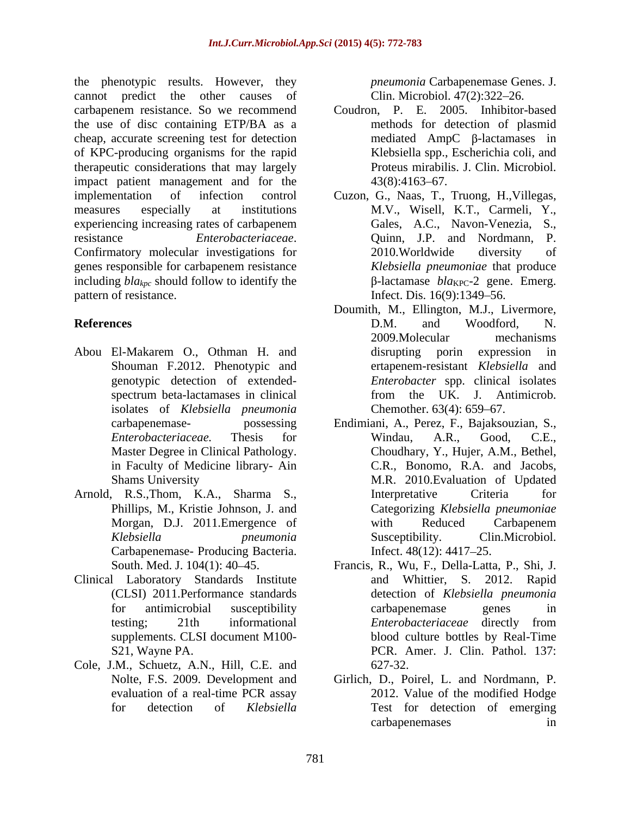the phenotypic results. However, they cannot predict the other causes of Clin. Microbiol. 47(2):322–26. carbapenem resistance. So we recommend the use of disc containing ETP/BA as a cheap, accurate screening test for detection of KPC-producing organisms for the rapid therapeutic considerations that may largely impact patient management and for the 43(8):4163-67. implementation of infection control Cuzon, G., Naas, T., Truong, H.,Villegas, measures especially at institutions M.V., Wisell, K.T., Carmeli, Y., experiencing increasing rates of carbapenem resistance *Enterobacteriaceae*. Quinn, J.P. and Nordmann, P.<br>Confirmatory molecular investigations for 2010.Worldwide diversity of genes responsible for carbapenem resistance including *blakpc* should follow to identify the pattern of resistance. Infect. Dis. 16(9):1349–56.

- Abou El-Makarem O., Othman H. and isolates of *Klebsiella pneumonia*
- Arnold, R.S.,Thom, K.A., Sharma S., Carbapenemase- Producing Bacteria. Infect. 48(12): 4417–25.
- Clinical Laboratory Standards Institute
- Cole, J.M., Schuetz, A.N., Hill, C.E. and

*pneumonia* Carbapenemase Genes. J.

- Coudron, P. E. 2005. Inhibitor-based methods for detection of plasmid mediated  $AmpC$   $\beta$ -lactamases in Klebsiella spp., Escherichia coli, and Proteus mirabilis. J. Clin. Microbiol.  $43(8):4163-67.$
- Gales, A.C., Navon-Venezia, S., Quinn, J.P. and Nordmann, P. 2010.Worldwide diversity of *Klebsiella pneumoniae* that produce  $\beta$ -lactamase *bla*<sub>KPC</sub>-2 gene. Emerg.
- **References** D.M. and Woodford, N. Shouman F.2012. Phenotypic and ertapenem-resistant *Klebsiella* and genotypic detection of extended- *Enterobacter* spp. clinical isolates spectrum beta-lactamases in clinical from the UK. J. Antimicrob. Doumith, M., Ellington, M.J., Livermore, D.M. and Woodford, N. 2009.Molecular mechanisms disrupting porin expression in from the UK. J. Antimicrob. Chemother.  $63(4)$ :  $659-67$ .
	- carbapenemase- possessing Endimiani, A., Perez, F., Bajaksouzian, S., *Enterobacteriaceae.* Thesis for Master Degree in Clinical Pathology. Choudhary, Y., Hujer, A.M., Bethel,<br>in Faculty of Medicine library- Ain C.R., Bonomo, R.A. and Jacobs, Shams University M.R. 2010.Evaluation of Updated Phillips, M., Kristie Johnson, J. and Categorizing *Klebsiella pneumoniae* Morgan, D.J. 2011.Emergence of with Reduced Carbapenem *Klebsiella pneumonia* Windau, A.R., Good, C.E., Choudhary, Y., Hujer, A.M., Bethel, C.R., Bonomo, R.A. and Jacobs, Interpretative Criteria for with Reduced Carbapenem Susceptibility. Clin.Microbiol. Infect. 48(12): 4417–25.
	- South. Med. J. 104(1): 40 45. Francis, R., Wu, F., Della-Latta, P., Shi, J. (CLSI) 2011.Performance standards detection of *Klebsiella pneumonia* for antimicrobial susceptibility testing; 21th informational *Enterobacteriaceae* directly from supplements. CLSI document M100- blood culture bottles by Real-Time S21, Wayne PA. PCR. Amer. J. Clin. Pathol. 137: and Whittier, S. 2012. Rapid carbapenemase genes in *Enterobacteriaceae* directly from 627-32.
	- Nolte, F.S. 2009. Development and Girlich, D., Poirel, L. and Nordmann, P. evaluation of a real-time PCR assay for detection of *Klebsiella* Test for detection of emerging 2012. Value of the modified Hodge carbapenemases in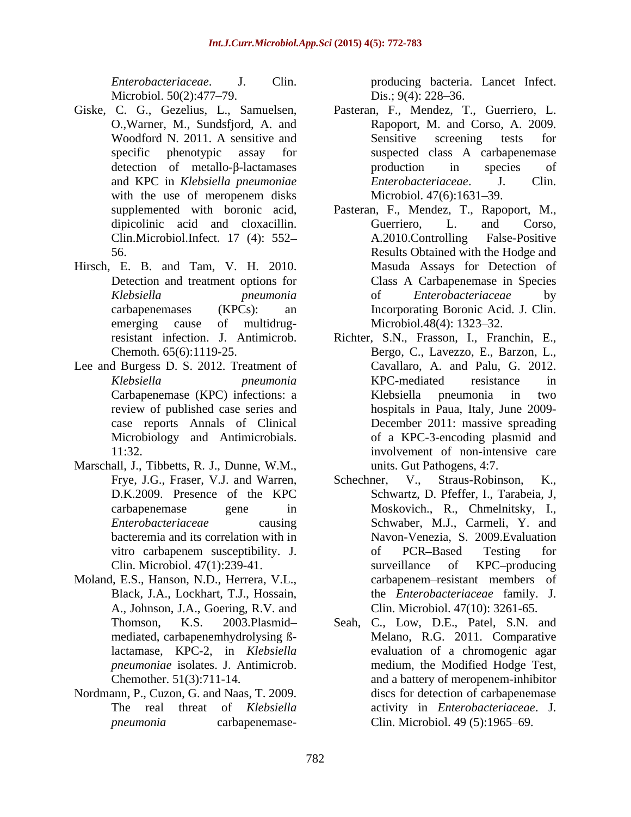- Giske, C. G., Gezelius, L., Samuelsen,
- Hirsch, E. B. and Tam, V. H. 2010. emerging cause of multidrug-<br>Microbiol.48(4): 1323–32.
- Lee and Burgess D. S. 2012. Treatment of
- Marschall, J., Tibbetts, R. J., Dunne, W.M.,
- Moland, E.S., Hanson, N.D., Herrera, V.L., Black, J.A., Lockhart, T.J., Hossain, A., Johnson, J.A., Goering, R.V. and *pneumoniae* isolates. J. Antimicrob.
- Nordmann, P., Cuzon, G. and Naas, T. 2009.

*Enterobacteriaceae*. J. Clin. producing bacteria. Lancet Infect. Microbiol. 50(2):477–79. Dis.; 9(4): 228–36. Dis.;  $9(4)$ : 228-36.

- O.,Warner, M., Sundsfjord, A. and Rapoport, M. and Corso, A. 2009. Woodford N. 2011. A sensitive and Sensitive screening tests for specific phenotypic assay for suspected class A carbapenemase detection of metallo- $\beta$ -lactamases production in species of and KPC in *Klebsiella pneumoniae Enterobacteriaceae*. J. Clin. with the use of meropenem disks Microbiol. 47(6):1631–39. Pasteran, F., Mendez, T., Guerriero, L. Sensitive screening tests for production in species of  $Enterobacteriaceae.$ Microbiol. 47(6):1631–39.
- supplemented with boronic acid, Pasteran, F., Mendez, T., Rapoport, M., dipicolinic acid and cloxacillin. Guerriero, L. and Corso, Clin.Microbiol.Infect. 17 (4): 552-<br>A.2010.Controlling False-Positive 56. Results Obtained with the Hodge and Detection and treatment options for Class A Carbapenemase in Species *Klebsiella pneumonia* carbapenemases (KPCs): an Incorporating Boronic Acid. J. Clin. Guerriero, L. and Corso, A.2010.Controlling False-Positive Masuda Assays for Detection of of *Enterobacteriaceae* by Microbiol.48(4): 1323–32.
- resistant infection. J. Antimicrob. Richter, S.N., Frasson, I., Franchin, E., Chemoth. 65(6):1119-25. Bergo, C., Lavezzo, E., Barzon, L., *Klebsiella pneumonia* Carbapenemase (KPC) infections: a review of published case series and hospitals in Paua, Italy, June 2009 case reports Annals of Clinical December 2011: massive spreading Microbiology and Antimicrobials. of a KPC-3-encoding plasmid and 11:32. involvement of non-intensive care Cavallaro, A. and Palu, G. 2012. KPC-mediated resistance in Klebsiella pneumonia in two units. Gut Pathogens, 4:7.
- Frye, J.G., Fraser, V.J. and Warren, Schechner, V., Straus-Robinson, K., D.K.2009. Presence of the KPC Schwartz, D. Pfeffer, I., Tarabeia, J. carbapenemase gene in Moskovich., R., Chmelnitsky, I., *Enterobacteriaceae* causing Schwaber, M.J., Carmeli, Y. and bacteremia and its correlation with in Navon-Venezia, S. 2009.Evaluation vitro carbapenem susceptibility. J. Clin. Microbiol. 47(1):239-41. Surveillance of KPC-producing Straus-Robinson, Schwartz, D. Pfeffer, I., Tarabeia, J, of PCR-Based Testing for surveillance of KPC-producing carbapenem–resistant members of the *Enterobacteriaceae* family. J. Clin. Microbiol. 47(10): 3261-65.
- Thomson, K.S. 2003.Plasmid Seah, C., Low, D.E., Patel, S.N. and mediated, carbapenemhydrolysing ß-Melano, R.G. 2011. Comparative lactamase, KPC-2, in *Klebsiella* evaluation of a chromogenic agar Chemother. 51(3):711-14. and a battery of meropenem-inhibitor The real threat of *Klebsiella*  activity in *Enterobacteriaceae*. J. *pneumonia* carbapenemase- Clin. Microbiol. 49 (5):1965–69. medium, the Modified Hodge Test, discs for detection of carbapenemase